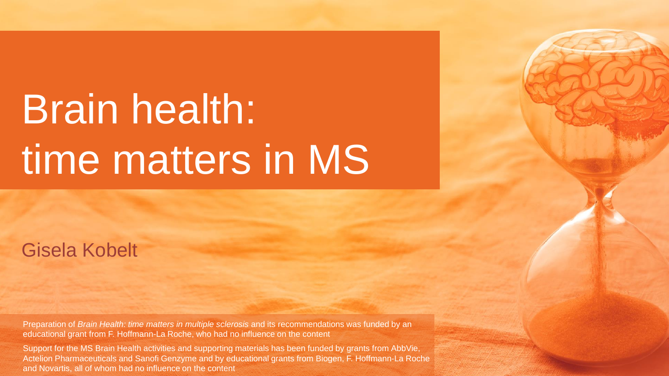# Brain health: time matters in MS

#### Gisela Kobelt

Preparation of *Brain Health: time matters in multiple sclerosis* and its recommendations was funded by an educational grant from F. Hoffmann-La Roche, who had no influence on the content

Support for the MS Brain Health activities and supporting materials has been funded by grants from AbbVie, Actelion Pharmaceuticals and Sanofi Genzyme and by educational grants from Biogen, F. Hoffmann-La Roche and Novartis, all of whom had no influence on the content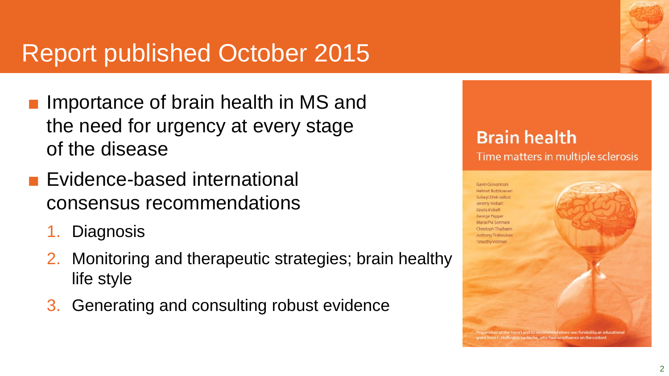#### Report published October 2015

- Importance of brain health in MS and the need for urgency at every stage of the disease
- Evidence-based international consensus recommendations
	- 1. Diagnosis
	- 2. Monitoring and therapeutic strategies; brain healthy life style
	- 3. Generating and consulting robust evidence



#### **Brain health** Time matters in multiple sclerosis

Gavin Glovannon **Helmut Butzkuever** Suhavl Dhib-Jalbut Jeremy Hobart Gisela Kohelt George Pepper Maria Pia Sorman

Christoph Thalheim Anthony Traboulsee **Timothy Vollmer** aration of the report and its recommendations was funded by an educational rom F. Hoffmann-La Roche, who had no influence on the content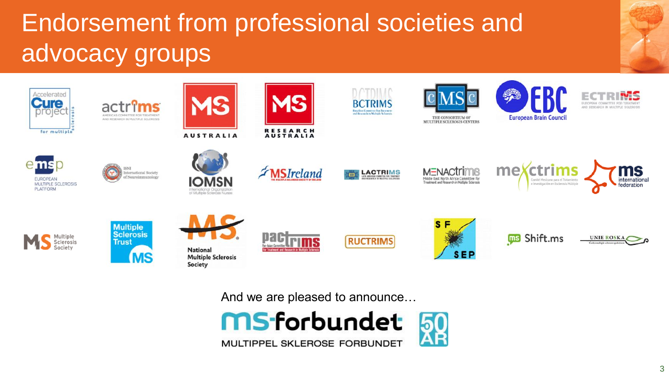## Endorsement from professional societies and advocacy groups



And we are pleased to announce…

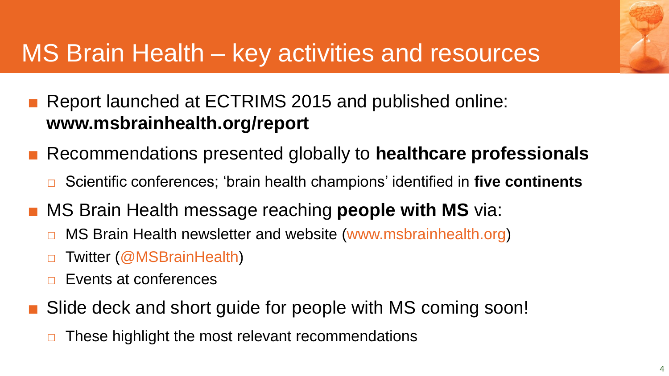

#### MS Brain Health – key activities and resources

- Report launched at ECTRIMS 2015 and published online: **www.msbrainhealth.org/report**
- Recommendations presented globally to **healthcare professionals**
	- □ Scientific conferences; 'brain health champions' identified in **five continents**
- **MS Brain Health message reaching people with MS** via:
	- □ MS Brain Health newsletter and website (www.msbrainhealth.org)
	- □ Twitter (@MSBrainHealth)
	- Events at conferences
- Slide deck and short guide for people with MS coming soon!
	- $\Box$  These highlight the most relevant recommendations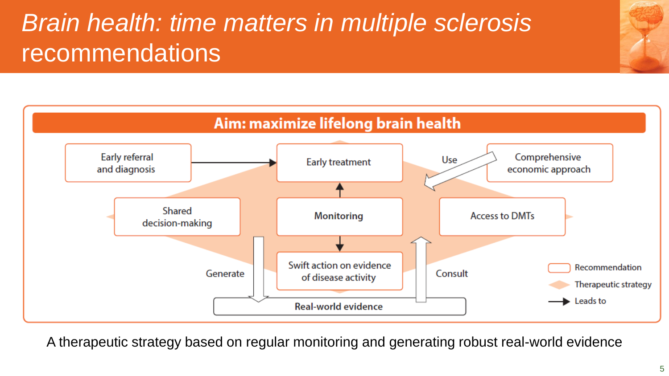### *Brain health: time matters in multiple sclerosis*  **recommendations**



A therapeutic strategy based on regular monitoring and generating robust real-world evidence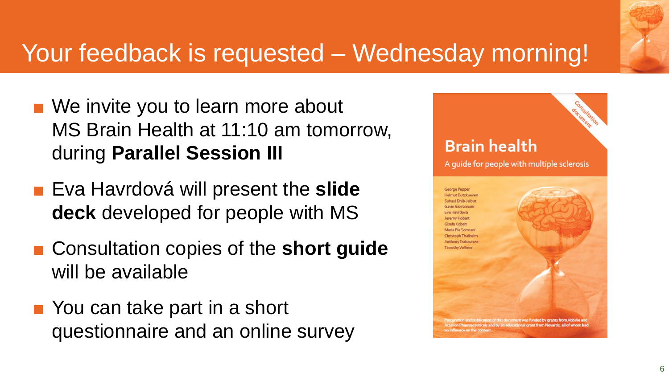#### Your feedback is requested – Wednesday morning!

- We invite you to learn more about MS Brain Health at 11:10 am tomorrow, during **Parallel Session III**
- Eva Havrdová will present the slide **deck** developed for people with MS
- Consultation copies of the **short guide** will be available
- You can take part in a short questionnaire and an online survey

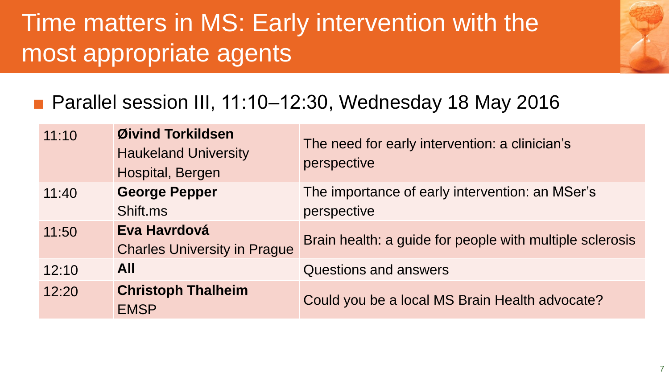#### Time matters in MS: Early intervention with the most appropriate agents

#### ■ Parallel session III, 11:10–12:30, Wednesday 18 May 2016

| 11:10 | Øivind Torkildsen<br><b>Haukeland University</b><br>Hospital, Bergen | The need for early intervention: a clinician's<br>perspective  |
|-------|----------------------------------------------------------------------|----------------------------------------------------------------|
| 11:40 | <b>George Pepper</b><br>Shift ms                                     | The importance of early intervention: an MSer's<br>perspective |
| 11:50 | Eva Havrdová<br><b>Charles University in Prague</b>                  | Brain health: a guide for people with multiple sclerosis       |
| 12:10 | <b>All</b>                                                           | <b>Questions and answers</b>                                   |
| 12:20 | <b>Christoph Thalheim</b><br><b>EMSP</b>                             | Could you be a local MS Brain Health advocate?                 |